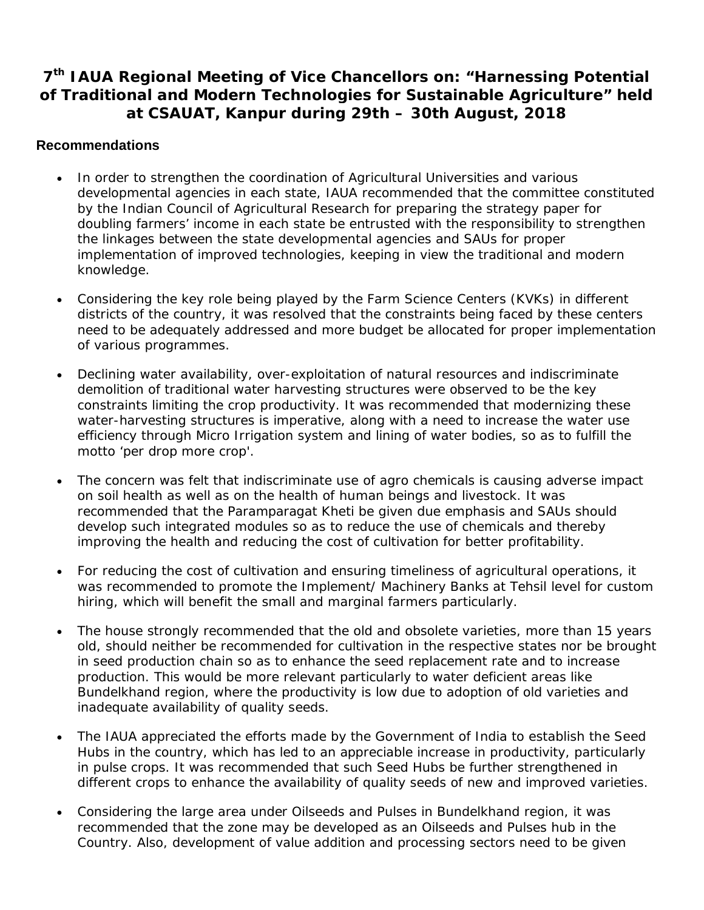## **7 th IAUA Regional Meeting of Vice Chancellors on: "Harnessing Potential of Traditional and Modern Technologies for Sustainable Agriculture" held at CSAUAT, Kanpur during 29th – 30th August, 2018**

## **Recommendations**

- In order to strengthen the coordination of Agricultural Universities and various developmental agencies in each state, IAUA recommended that the committee constituted by the Indian Council of Agricultural Research for preparing the strategy paper for doubling farmers' income in each state be entrusted with the responsibility to strengthen the linkages between the state developmental agencies and SAUs for proper implementation of improved technologies, keeping in view the traditional and modern knowledge.
- Considering the key role being played by the Farm Science Centers (KVKs) in different districts of the country, it was resolved that the constraints being faced by these centers need to be adequately addressed and more budget be allocated for proper implementation of various programmes.
- Declining water availability, over-exploitation of natural resources and indiscriminate demolition of traditional water harvesting structures were observed to be the key constraints limiting the crop productivity. It was recommended that modernizing these water-harvesting structures is imperative, along with a need to increase the water use efficiency through Micro Irrigation system and lining of water bodies, so as to fulfill the motto 'per drop more crop'.
- The concern was felt that indiscriminate use of agro chemicals is causing adverse impact on soil health as well as on the health of human beings and livestock. It was recommended that the *Paramparagat Kheti* be given due emphasis and SAUs should develop such integrated modules so as to reduce the use of chemicals and thereby improving the health and reducing the cost of cultivation for better profitability.
- For reducing the cost of cultivation and ensuring timeliness of agricultural operations, it was recommended to promote the Implement/ Machinery Banks at Tehsil level for custom hiring, which will benefit the small and marginal farmers particularly.
- The house strongly recommended that the old and obsolete varieties, more than 15 years old, should neither be recommended for cultivation in the respective states nor be brought in seed production chain so as to enhance the seed replacement rate and to increase production. This would be more relevant particularly to water deficient areas like Bundelkhand region, where the productivity is low due to adoption of old varieties and inadequate availability of quality seeds.
- The IAUA appreciated the efforts made by the Government of India to establish the Seed Hubs in the country, which has led to an appreciable increase in productivity, particularly in pulse crops. It was recommended that such Seed Hubs be further strengthened in different crops to enhance the availability of quality seeds of new and improved varieties.
- Considering the large area under Oilseeds and Pulses in Bundelkhand region, it was recommended that the zone may be developed as an Oilseeds and Pulses hub in the Country. Also, development of value addition and processing sectors need to be given